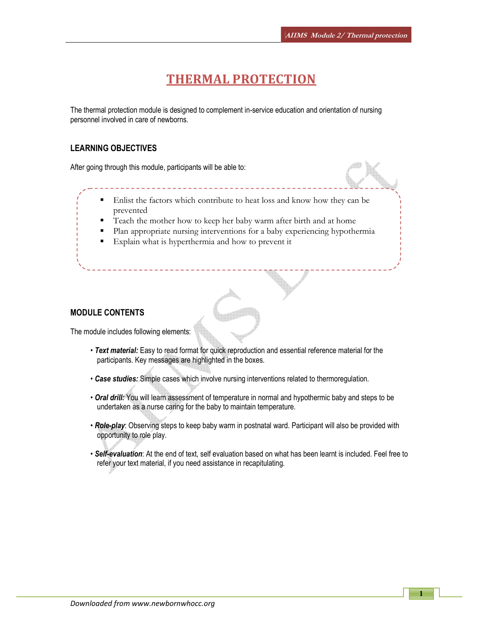# THERMAL PROTECTION

The thermal protection module is designed to complement in-service education and orientation of nursing personnel involved in care of newborns.

### LEARNING OBJECTIVES

After going through this module, participants will be able to:

- Enlist the factors which contribute to heat loss and know how they can be prevented
- Teach the mother how to keep her baby warm after birth and at home
- Plan appropriate nursing interventions for a baby experiencing hypothermia
- Explain what is hyperthermia and how to prevent it

### MODULE CONTENTS

The module includes following elements:

- Text material: Easy to read format for quick reproduction and essential reference material for the participants. Key messages are highlighted in the boxes.
- Case studies: Simple cases which involve nursing interventions related to thermoregulation.
- Oral drill: You will learn assessment of temperature in normal and hypothermic baby and steps to be undertaken as a nurse caring for the baby to maintain temperature.
- Role-play: Observing steps to keep baby warm in postnatal ward. Participant will also be provided with opportunity to role play.
- Self-evaluation: At the end of text, self evaluation based on what has been learnt is included. Feel free to refer your text material, if you need assistance in recapitulating.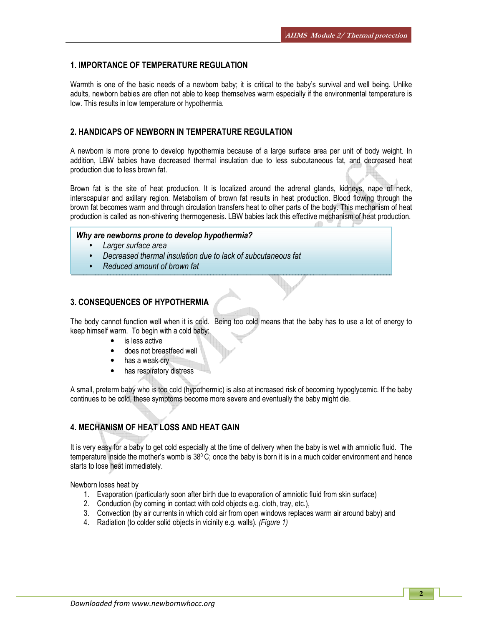### 1. IMPORTANCE OF TEMPERATURE REGULATION

Warmth is one of the basic needs of a newborn baby; it is critical to the baby's survival and well being. Unlike adults, newborn babies are often not able to keep themselves warm especially if the environmental temperature is low. This results in low temperature or hypothermia.

### 2. HANDICAPS OF NEWBORN IN TEMPERATURE REGULATION

A newborn is more prone to develop hypothermia because of a large surface area per unit of body weight. In addition, LBW babies have decreased thermal insulation due to less subcutaneous fat, and decreased heat production due to less brown fat.

Brown fat is the site of heat production. It is localized around the adrenal glands, kidneys, nape of neck, interscapular and axillary region. Metabolism of brown fat results in heat production. Blood flowing through the brown fat becomes warm and through circulation transfers heat to other parts of the body. This mechanism of heat production is called as non-shivering thermogenesis. LBW babies lack this effective mechanism of heat production.

### Why are newborns prone to develop hypothermia?

- Larger surface area
- Decreased thermal insulation due to lack of subcutaneous fat
- Reduced amount of brown fat

### 3. CONSEQUENCES OF HYPOTHERMIA

The body cannot function well when it is cold. Being too cold means that the baby has to use a lot of energy to keep himself warm. To begin with a cold baby:

- is less active
- does not breastfeed well
- has a weak cry
- has respiratory distress

A small, preterm baby who is too cold (hypothermic) is also at increased risk of becoming hypoglycemic. If the baby continues to be cold, these symptoms become more severe and eventually the baby might die.

## 4. MECHANISM OF HEAT LOSS AND HEAT GAIN

It is very easy for a baby to get cold especially at the time of delivery when the baby is wet with amniotic fluid. The temperature inside the mother's womb is  $38^{\circ}$ C; once the baby is born it is in a much colder environment and hence starts to lose heat immediately.

Newborn loses heat by

- 1. Evaporation (particularly soon after birth due to evaporation of amniotic fluid from skin surface)
- 2. Conduction (by coming in contact with cold objects e.g. cloth, tray, etc.),
- 3. Convection (by air currents in which cold air from open windows replaces warm air around baby) and
- 4. Radiation (to colder solid objects in vicinity e.g. walls). (Figure 1)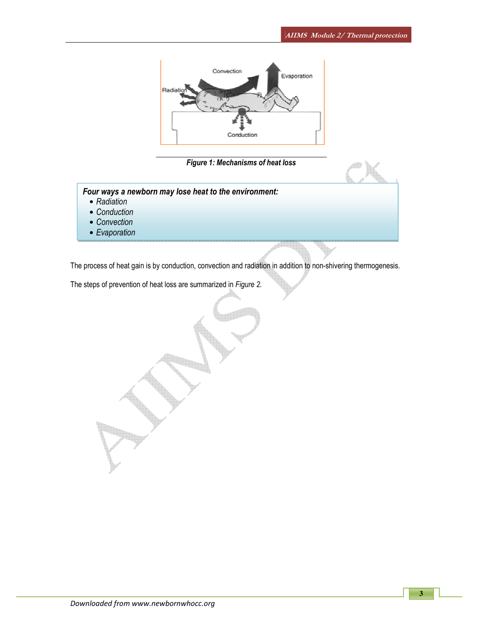

### Figure 1: Mechanisms of heat loss

Four ways a newborn may lose heat to the environment:

- Radiation
- Conduction
- Convection
- Evaporation

The process of heat gain is by conduction, convection and radiation in addition to non-shivering thermogenesis.

The steps of prevention of heat loss are summarized in Figure 2.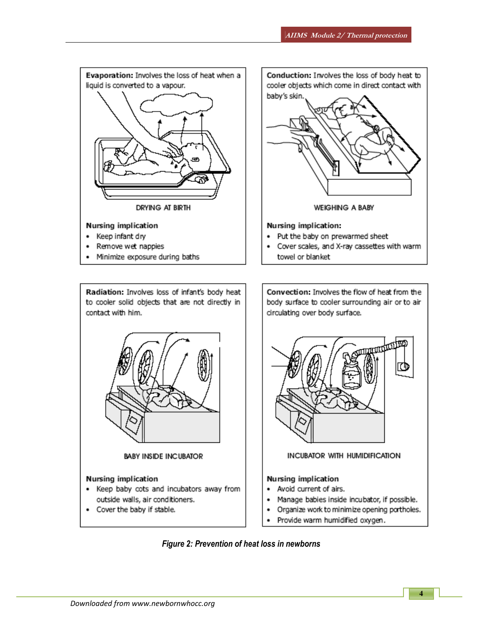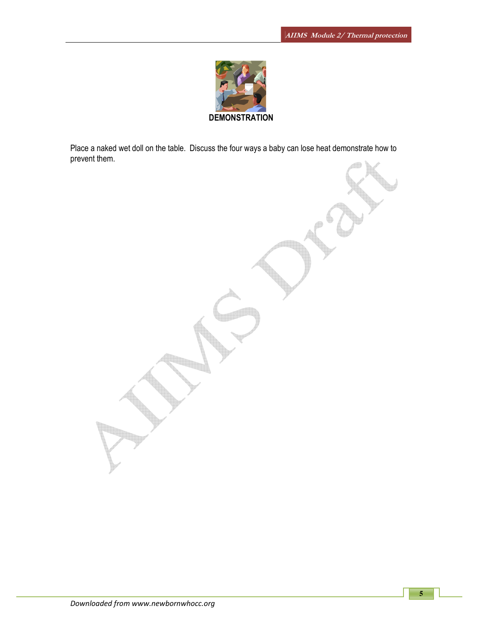

Place a naked wet doll on the table. Discuss the four ways a baby can lose heat demonstrate how to prevent them.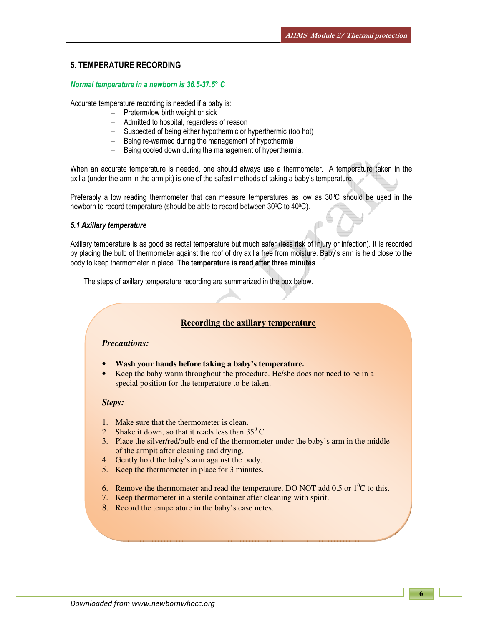### 5. TEMPERATURE RECORDING

#### Normal temperature in a newborn is 36.5-37.5° C

Accurate temperature recording is needed if a baby is:

- Preterm/low birth weight or sick
- Admitted to hospital, regardless of reason
- Suspected of being either hypothermic or hyperthermic (too hot)
- Being re-warmed during the management of hypothermia
- Being cooled down during the management of hyperthermia.

When an accurate temperature is needed, one should always use a thermometer. A temperature taken in the axilla (under the arm in the arm pit) is one of the safest methods of taking a baby's temperature.

Preferably a low reading thermometer that can measure temperatures as low as 30°C should be used in the newborn to record temperature (should be able to record between 30<sup>o</sup>C to 40<sup>o</sup>C).

#### 5.1 Axillary temperature

Axillary temperature is as good as rectal temperature but much safer (less risk of injury or infection). It is recorded by placing the bulb of thermometer against the roof of dry axilla free from moisture. Baby's arm is held close to the body to keep thermometer in place. The temperature is read after three minutes.

The steps of axillary temperature recording are summarized in the box below.

#### **Recording the axillary temperature**

### *Precautions:*

- **Wash your hands before taking a baby's temperature.**
- Keep the baby warm throughout the procedure. He/she does not need to be in a special position for the temperature to be taken.

#### *Steps:*

- 1. Make sure that the thermometer is clean.
- 2. Shake it down, so that it reads less than  $35^{\circ}$  C
- 3. Place the silver/red/bulb end of the thermometer under the baby's arm in the middle of the armpit after cleaning and drying.
- 4. Gently hold the baby's arm against the body.
- 5. Keep the thermometer in place for 3 minutes.
- 6. Remove the thermometer and read the temperature. DO NOT add 0.5 or  $1^{0}C$  to this.
- 7. Keep thermometer in a sterile container after cleaning with spirit.
- 8. Record the temperature in the baby's case notes.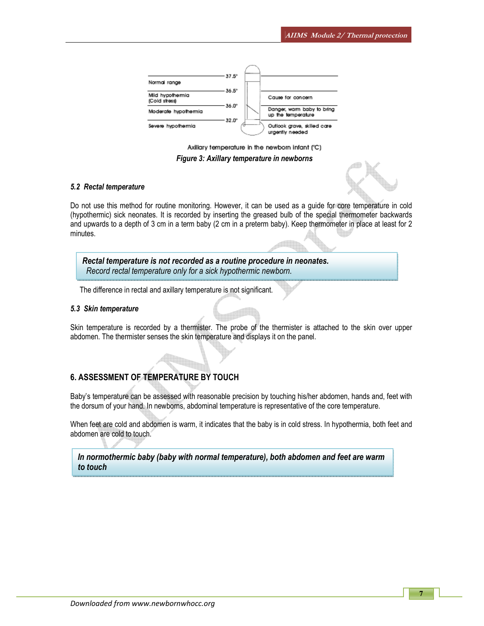

Axillary temperature in the newborn infant (°C)

Figure 3: Axillary temperature in newborns

#### 5.2 Rectal temperature

Do not use this method for routine monitoring. However, it can be used as a guide for core temperature in cold (hypothermic) sick neonates. It is recorded by inserting the greased bulb of the special thermometer backwards and upwards to a depth of 3 cm in a term baby (2 cm in a preterm baby). Keep thermometer in place at least for 2 minutes.

Rectal temperature is not recorded as a routine procedure in neonates. Record rectal temperature only for a sick hypothermic newborn.

The difference in rectal and axillary temperature is not significant.

#### 5.3 Skin temperature

l

Skin temperature is recorded by a thermister. The probe of the thermister is attached to the skin over upper abdomen. The thermister senses the skin temperature and displays it on the panel.

### 6. ASSESSMENT OF TEMPERATURE BY TOUCH

Baby's temperature can be assessed with reasonable precision by touching his/her abdomen, hands and, feet with the dorsum of your hand. In newborns, abdominal temperature is representative of the core temperature.

When feet are cold and abdomen is warm, it indicates that the baby is in cold stress. In hypothermia, both feet and abdomen are cold to touch.

In normothermic baby (baby with normal temperature), both abdomen and feet are warm to touch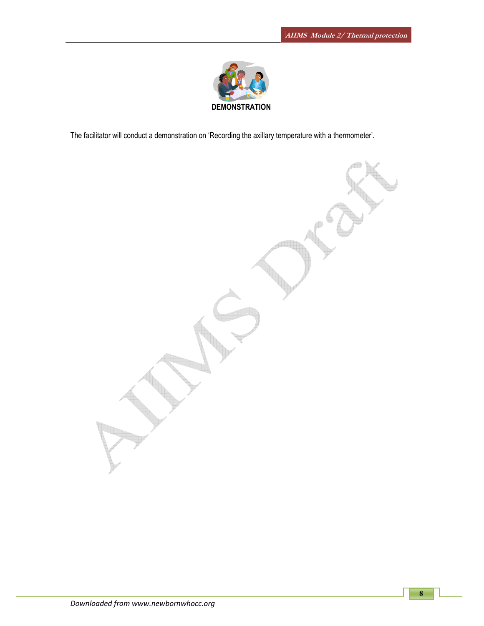

The facilitator will conduct a demonstration on 'Recording the axillary temperature with a thermometer'.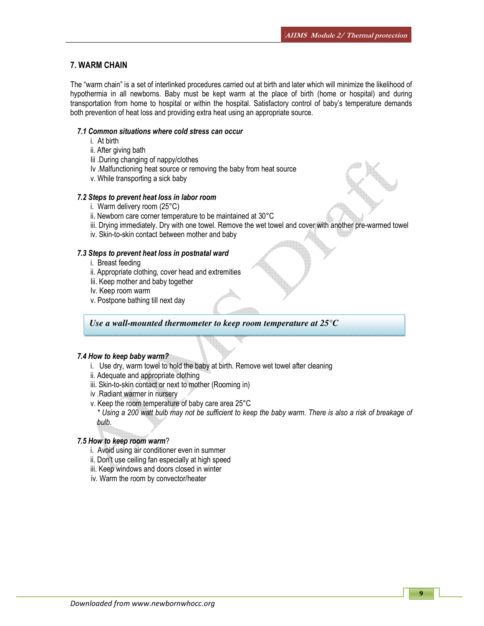### 7. WARM CHAIN

The "warm chain" is a set of interlinked procedures carried out at birth and later which will minimize the likelihood of hypothermia in all newborns. Baby must be kept warm at the place of birth (home or hospital) and during transportation from home to hospital or within the hospital. Satisfactory control of baby's temperature demands both prevention of heat loss and providing extra heat using an appropriate source.

#### 7.1 Common situations where cold stress can occur

- i. At birth
- ii. After giving bath
- Iii .During changing of nappy/clothes
- Iv .Malfunctioning heat source or removing the baby from heat source
- v. While transporting a sick baby

#### 7.2 Steps to prevent heat loss in labor room

- i. Warm delivery room (25°C)
- ii. Newborn care corner temperature to be maintained at 30°C
- iii. Drying immediately. Dry with one towel. Remove the wet towel and cover with another pre-warmed towel
- iv. Skin-to-skin contact between mother and baby

#### 7.3 Steps to prevent heat loss in postnatal ward

- i. Breast feeding
- ii. Appropriate clothing, cover head and extremities
- Iii. Keep mother and baby together
- Iv. Keep room warm
- v. Postpone bathing till next day

*Use a wall-mounted thermometer to keep room temperature at 25°C* 

#### 7.4 How to keep baby warm?

- i. Use dry, warm towel to hold the baby at birth. Remove wet towel after cleaning
- ii. Adequate and appropriate clothing
- iii. Skin-to-skin contact or next to mother (Rooming in)
- iv .Radiant warmer in nursery
- v. Keep the room temperature of baby care area 25°C

\* Using a 200 watt bulb may not be sufficient to keep the baby warm. There is also a risk of breakage of bulb.

#### 7.5 How to keep room warm?

- i. Avoid using air conditioner even in summer
- ii. Don't use ceiling fan especially at high speed
- iii. Keep windows and doors closed in winter
- iv. Warm the room by convector/heater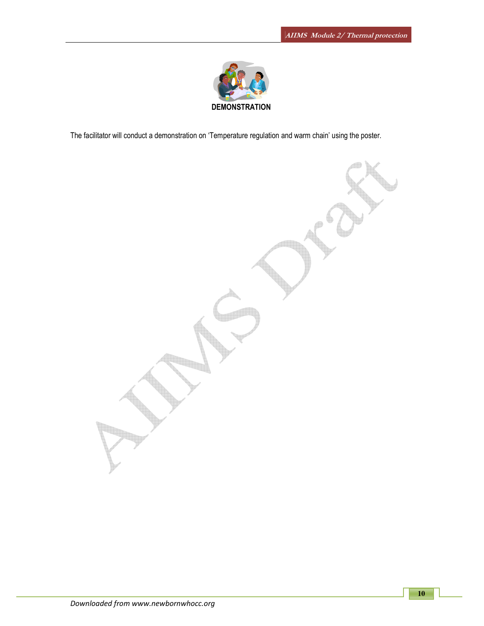

The facilitator will conduct a demonstration on 'Temperature regulation and warm chain' using the poster.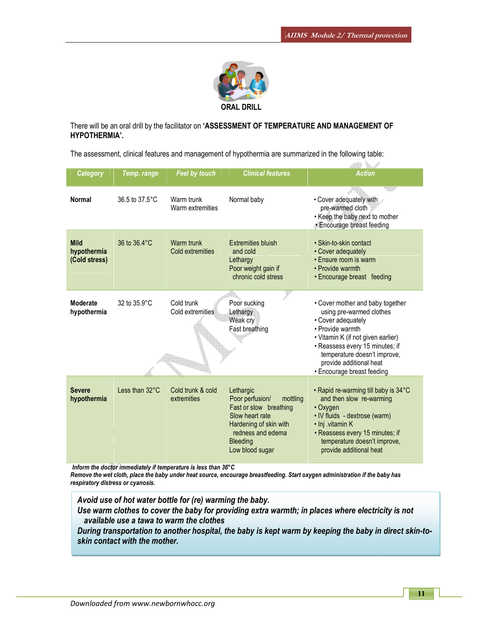$\frac{1}{2}$ 



There will be an oral drill by the facilitator on 'ASSESSMENT OF TEMPERATURE AND MANAGEMENT OF HYPOTHERMIA'.

The assessment, clinical features and management of hypothermia are summarized in the following table:

| <b>Category</b>                             | Temp. range              | Feel by touch                    | <b>Clinical features</b>                                                                                                                                                   | <b>Action</b>                                                                                                                                                                                                                                                            |
|---------------------------------------------|--------------------------|----------------------------------|----------------------------------------------------------------------------------------------------------------------------------------------------------------------------|--------------------------------------------------------------------------------------------------------------------------------------------------------------------------------------------------------------------------------------------------------------------------|
| <b>Normal</b>                               | 36.5 to 37.5°C           | Warm trunk<br>Warm extremities   | Normal baby                                                                                                                                                                | • Cover adequately with<br>pre-warmed cloth<br>• Keep the baby next to mother<br>· Encourage breast feeding                                                                                                                                                              |
| <b>Mild</b><br>hypothermia<br>(Cold stress) | 36 to 36.4°C             | Warm trunk<br>Cold extremities   | <b>Extremities bluish</b><br>and cold<br>Lethargy<br>Poor weight gain if<br>chronic cold stress                                                                            | • Skin-to-skin contact<br>• Cover adequately<br>• Ensure room is warm<br>• Provide warmth<br>• Encourage breast feeding                                                                                                                                                  |
| <b>Moderate</b><br>hypothermia              | 32 to 35.9°C             | Cold trunk<br>Cold extremities   | Poor sucking<br>Lethargy<br>Weak cry<br>Fast breathing                                                                                                                     | • Cover mother and baby together<br>using pre-warmed clothes<br>• Cover adequately<br>• Provide warmth<br>• Vitamin K (if not given earlier)<br>· Reassess every 15 minutes; if<br>temperature doesn't improve,<br>provide additional heat<br>• Encourage breast feeding |
| <b>Severe</b><br>hypothermia                | Less than $32^{\circ}$ C | Cold trunk & cold<br>extremities | Lethargic<br>Poor perfusion/<br>mottling<br>Fast or slow breathing<br>Slow heart rate<br>Hardening of skin with<br>redness and edema<br><b>Bleeding</b><br>Low blood sugar | • Rapid re-warming till baby is 34°C<br>and then slow re-warming<br>• Oxygen<br>• IV fluids - dextrose (warm)<br>· Inj .vitamin K<br>• Reassess every 15 minutes; if<br>temperature doesn't improve,<br>provide additional heat                                          |

Inform the doctor immediately if temperature is less than 36°C

Remove the wet cloth, place the baby under heat source, encourage breastfeeding. Start oxygen administration if the baby has respiratory distress or cyanosis.

Avoid use of hot water bottle for (re) warming the baby.

Use warm clothes to cover the baby for providing extra warmth; in places where electricity is not available use a tawa to warm the clothes

During transportation to another hospital, the baby is kept warm by keeping the baby in direct skin-toskin contact with the mother.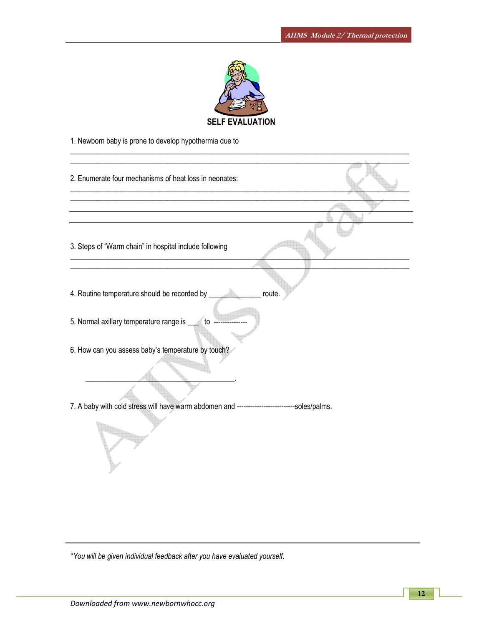

 $\_$  ,  $\_$  ,  $\_$  ,  $\_$  ,  $\_$  ,  $\_$  ,  $\_$  ,  $\_$  ,  $\_$  ,  $\_$  ,  $\_$  ,  $\_$  ,  $\_$  ,  $\_$  ,  $\_$  ,  $\_$  ,  $\_$  ,  $\_$  ,  $\_$  ,  $\_$  ,  $\_$  ,  $\_$  ,  $\_$  ,  $\_$  ,  $\_$  ,  $\_$  ,  $\_$  ,  $\_$  ,  $\_$  ,  $\_$  ,  $\_$  ,  $\_$  ,  $\_$  ,  $\_$  ,  $\_$  ,  $\_$  ,  $\_$  ,

1. Newborn baby is prone to develop hypothermia due to

| 2. Enumerate four mechanisms of heat loss in neonates:                                        |  |
|-----------------------------------------------------------------------------------------------|--|
|                                                                                               |  |
| 3. Steps of "Warm chain" in hospital include following                                        |  |
|                                                                                               |  |
| 4. Routine temperature should be recorded by _<br>route.                                      |  |
| 5. Normal axillary temperature range is ______ to                                             |  |
| 6. How can you assess baby's temperature by touch?                                            |  |
|                                                                                               |  |
| 7. A baby with cold stress will have warm abdomen and ---------------------------soles/palms. |  |
|                                                                                               |  |

\*You will be given individual feedback after you have evaluated yourself.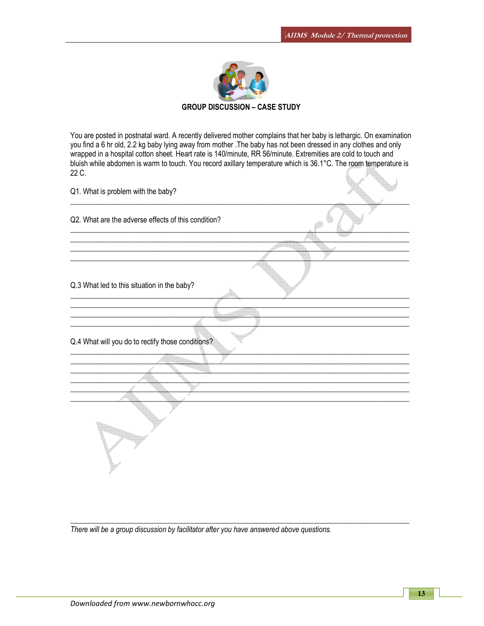

### GROUP DISCUSSION – CASE STUDY

You are posted in postnatal ward. A recently delivered mother complains that her baby is lethargic. On examination you find a 6 hr old, 2.2 kg baby lying away from mother .The baby has not been dressed in any clothes and only wrapped in a hospital cotton sheet. Heart rate is 140/minute, RR 56/minute. Extremities are cold to touch and bluish while abdomen is warm to touch. You record axillary temperature which is 36.1°C. The room temperature is 22 C.  $\left( \sqrt{2} \right)$  $\mathbf{A}$ 

| Q1. What is problem with the baby?                  |  |
|-----------------------------------------------------|--|
| Q2. What are the adverse effects of this condition? |  |
|                                                     |  |
| Q.3 What led to this situation in the baby?         |  |
|                                                     |  |
| Q.4 What will you do to rectify those conditions?   |  |
|                                                     |  |
|                                                     |  |

 $\_$  ,  $\_$  ,  $\_$  ,  $\_$  ,  $\_$  ,  $\_$  ,  $\_$  ,  $\_$  ,  $\_$  ,  $\_$  ,  $\_$  ,  $\_$  ,  $\_$  ,  $\_$  ,  $\_$  ,  $\_$  ,  $\_$  ,  $\_$  ,  $\_$  ,  $\_$  ,  $\_$  ,  $\_$  ,  $\_$  ,  $\_$  ,  $\_$  ,  $\_$  ,  $\_$  ,  $\_$  ,  $\_$  ,  $\_$  ,  $\_$  ,  $\_$  ,  $\_$  ,  $\_$  ,  $\_$  ,  $\_$  ,  $\_$  ,

There will be a group discussion by facilitator after you have answered above questions.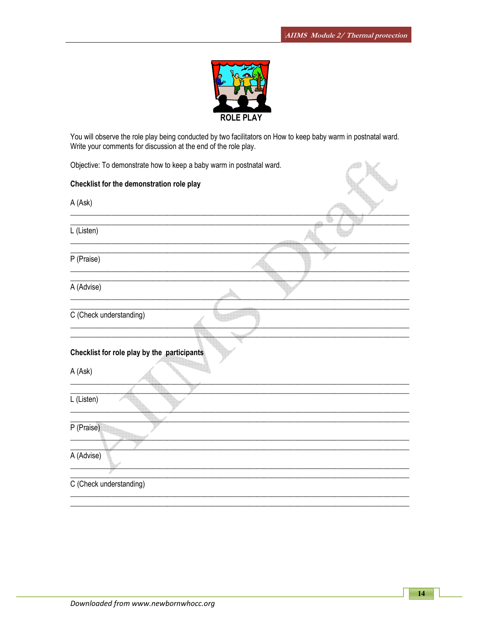4D



You will observe the role play being conducted by two facilitators on How to keep baby warm in postnatal ward. Write your comments for discussion at the end of the role play.

Objective: To demonstrate how to keep a baby warm in postnatal ward.

| Checklist for the demonstration role play              |  |
|--------------------------------------------------------|--|
| A (Ask)                                                |  |
| L (Listen)                                             |  |
| P (Praise)                                             |  |
| A (Advise)                                             |  |
| C (Check understanding)                                |  |
| Checklist for role play by the participants<br>A (Ask) |  |
| L (Listen)                                             |  |
| P (Praise)                                             |  |
| A (Advise)                                             |  |
| C (Check understanding)                                |  |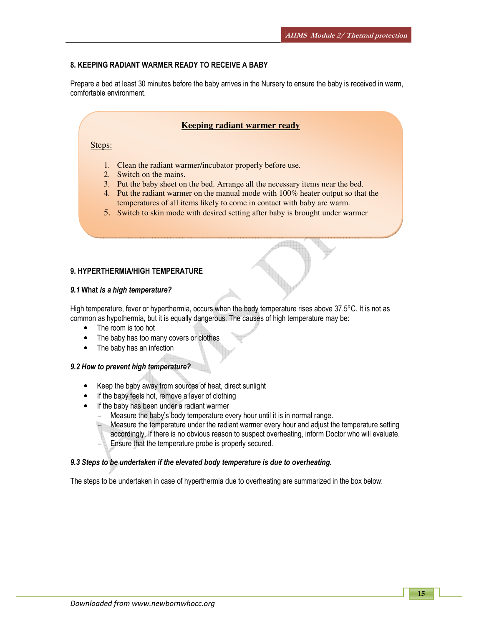#### 8. KEEPING RADIANT WARMER READY TO RECEIVE A BABY

Prepare a bed at least 30 minutes before the baby arrives in the Nursery to ensure the baby is received in warm, comfortable environment.

### **Keeping radiant warmer ready**

#### Steps:

- 1. Clean the radiant warmer/incubator properly before use.
- 2. Switch on the mains.
- 3. Put the baby sheet on the bed. Arrange all the necessary items near the bed.
- 4. Put the radiant warmer on the manual mode with 100% heater output so that the temperatures of all items likely to come in contact with baby are warm.
- 5. Switch to skin mode with desired setting after baby is brought under warmer

#### 9. HYPERTHERMIA/HIGH TEMPERATURE

#### 9.1 What is a high temperature?

High temperature, fever or hyperthermia, occurs when the body temperature rises above 37.5°C. It is not as common as hypothermia, but it is equally dangerous. The causes of high temperature may be:

- The room is too hot
- The baby has too many covers or clothes
- The baby has an infection

#### 9.2 How to prevent high temperature?

- Keep the baby away from sources of heat, direct sunlight
- If the baby feels hot, remove a layer of clothing
- If the baby has been under a radiant warmer
	- Measure the baby's body temperature every hour until it is in normal range.

Measure the temperature under the radiant warmer every hour and adjust the temperature setting accordingly. If there is no obvious reason to suspect overheating, inform Doctor who will evaluate. Ensure that the temperature probe is properly secured.

#### 9.3 Steps to be undertaken if the elevated body temperature is due to overheating.

The steps to be undertaken in case of hyperthermia due to overheating are summarized in the box below: